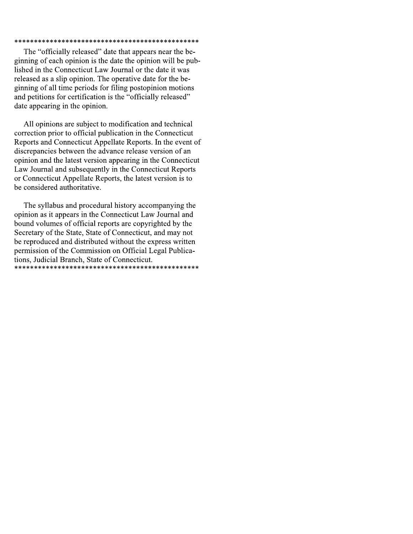### 

The "officially released" date that appears near the beginning of each opinion is the date the opinion will be published in the Connecticut Law Journal or the date it was released as a slip opinion. The operative date for the beginning of all time periods for filing postopinion motions and petitions for certification is the "officially released" date appearing in the opinion.

All opinions are subject to modification and technical correction prior to official publication in the Connecticut Reports and Connecticut Appellate Reports. In the event of discrepancies between the advance release version of an opinion and the latest version appearing in the Connecticut Law Journal and subsequently in the Connecticut Reports or Connecticut Appellate Reports, the latest version is to be considered authoritative.

The syllabus and procedural history accompanying the opinion as it appears in the Connecticut Law Journal and bound volumes of official reports are copyrighted by the Secretary of the State, State of Connecticut, and may not be reproduced and distributed without the express written permission of the Commission on Official Legal Publications, Judicial Branch, State of Connecticut.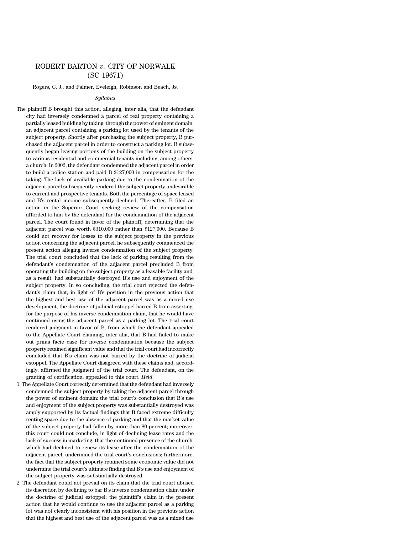# ROBERT BARTON *v.* CITY OF NORWALK (SC 19671)

Rogers, C. J., and Palmer, Eveleigh, Robinson and Beach, Js.

#### *Syllabus*

The plaintiff B brought this action, alleging, inter alia, that the defendant city had inversely condemned a parcel of real property containing a partially leased building by taking, through the power of eminent domain, an adjacent parcel containing a parking lot used by the tenants of the subject property. Shortly after purchasing the subject property, B purchased the adjacent parcel in order to construct a parking lot. B subsequently began leasing portions of the building on the subject property to various residential and commercial tenants including, among others, a church. In 2002, the defendant condemned the adjacent parcel in order to build a police station and paid B \$127,000 in compensation for the taking. The lack of available parking due to the condemnation of the adjacent parcel subsequently rendered the subject property undesirable to current and prospective tenants. Both the percentage of space leased and B's rental income subsequently declined. Thereafter, B filed an action in the Superior Court seeking review of the compensation afforded to him by the defendant for the condemnation of the adjacent parcel. The court found in favor of the plaintiff, determining that the adjacent parcel was worth \$310,000 rather than \$127,000. Because B could not recover for losses to the subject property in the previous action concerning the adjacent parcel, he subsequently commenced the present action alleging inverse condemnation of the subject property. The trial court concluded that the lack of parking resulting from the defendant's condemnation of the adjacent parcel precluded B from operating the building on the subject property as a leasable facility and, as a result, had substantially destroyed B's use and enjoyment of the subject property. In so concluding, the trial court rejected the defendant's claim that, in light of B's position in the previous action that the highest and best use of the adjacent parcel was as a mixed use development, the doctrine of judicial estoppel barred B from asserting, for the purpose of his inverse condemnation claim, that he would have continued using the adjacent parcel as a parking lot. The trial court rendered judgment in favor of B, from which the defendant appealed to the Appellate Court claiming, inter alia, that B had failed to make out prima facie case for inverse condemnation because the subject property retained significant value and that the trial court had incorrectly concluded that B's claim was not barred by the doctrine of judicial estoppel. The Appellate Court disagreed with these claims and, accordingly, affirmed the judgment of the trial court. The defendant, on the granting of certification, appealed to this court. *Held*:

- 1. The Appellate Court correctly determined that the defendant had inversely condemned the subject property by taking the adjacent parcel through the power of eminent domain: the trial court's conclusion that B's use and enjoyment of the subject property was substantially destroyed was amply supported by its factual findings that B faced extreme difficulty renting space due to the absence of parking and that the market value of the subject property had fallen by more than 80 percent; moreover, this court could not conclude, in light of declining lease rates and the lack of success in marketing, that the continued presence of the church, which had declined to renew its lease after the condemnation of the adjacent parcel, undermined the trial court's conclusions; furthermore, the fact that the subject property retained some economic value did not undermine the trial court's ultimate finding that B's use and enjoyment of the subject property was substantially destroyed.
- 2. The defendant could not prevail on its claim that the trial court abused its discretion by declining to bar B's inverse condemnation claim under the doctrine of judicial estoppel; the plaintiff's claim in the present action that he would continue to use the adjacent parcel as a parking lot was not clearly inconsistent with his position in the previous action that the highest and best use of the adjacent parcel was as a mixed use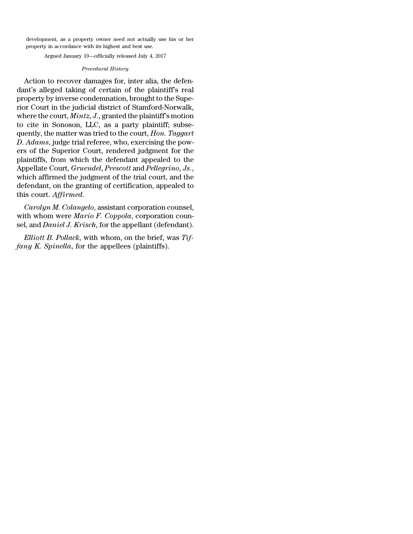development, as a property owner need not actually use his or her property in accordance with its highest and best use.

Argued January 19—officially released July 4, 2017

## *Procedural History*

Action to recover damages for, inter alia, the defendant's alleged taking of certain of the plaintiff's real property by inverse condemnation, brought to the Superior Court in the judicial district of Stamford-Norwalk, where the court, *Mintz, J.*, granted the plaintiff's motion to cite in Sonoson, LLC, as a party plaintiff; subsequently, the matter was tried to the court, *Hon. Taggart D. Adams*, judge trial referee, who, exercising the powers of the Superior Court, rendered judgment for the plaintiffs, from which the defendant appealed to the Appellate Court, *Gruendel*, *Prescott* and *Pellegrino, Js.*, which affirmed the judgment of the trial court, and the defendant, on the granting of certification, appealed to this court. *Affirmed.*

*Carolyn M. Colangelo*, assistant corporation counsel, with whom were *Mario F. Coppola*, corporation counsel, and *Daniel J. Krisch*, for the appellant (defendant).

*Elliott B. Pollack*, with whom, on the brief, was *Tiffany K. Spinella*, for the appellees (plaintiffs).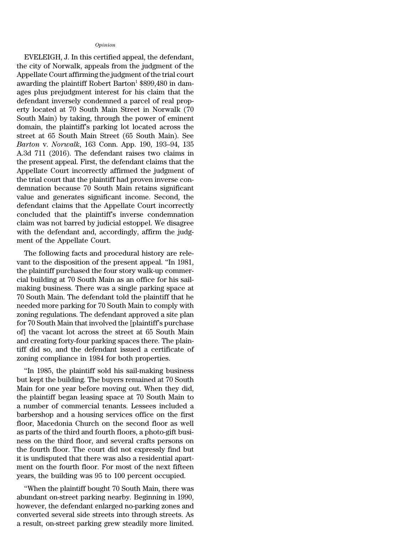### *Opinion*

EVELEIGH, J. In this certified appeal, the defendant, the city of Norwalk, appeals from the judgment of the Appellate Court affirming the judgment of the trial court awarding the plaintiff Robert Barton<sup>1</sup>  $$899,480$  in damages plus prejudgment interest for his claim that the defendant inversely condemned a parcel of real property located at 70 South Main Street in Norwalk (70 South Main) by taking, through the power of eminent domain, the plaintiff's parking lot located across the street at 65 South Main Street (65 South Main). See *Barton* v. *Norwalk*, 163 Conn. App. 190, 193–94, 135 A.3d 711 (2016). The defendant raises two claims in the present appeal. First, the defendant claims that the Appellate Court incorrectly affirmed the judgment of the trial court that the plaintiff had proven inverse condemnation because 70 South Main retains significant value and generates significant income. Second, the defendant claims that the Appellate Court incorrectly concluded that the plaintiff's inverse condemnation claim was not barred by judicial estoppel. We disagree with the defendant and, accordingly, affirm the judgment of the Appellate Court.

The following facts and procedural history are relevant to the disposition of the present appeal. ''In 1981, the plaintiff purchased the four story walk-up commercial building at 70 South Main as an office for his sailmaking business. There was a single parking space at 70 South Main. The defendant told the plaintiff that he needed more parking for 70 South Main to comply with zoning regulations. The defendant approved a site plan for 70 South Main that involved the [plaintiff's purchase of] the vacant lot across the street at 65 South Main and creating forty-four parking spaces there. The plaintiff did so, and the defendant issued a certificate of zoning compliance in 1984 for both properties.

''In 1985, the plaintiff sold his sail-making business but kept the building. The buyers remained at 70 South Main for one year before moving out. When they did, the plaintiff began leasing space at 70 South Main to a number of commercial tenants. Lessees included a barbershop and a housing services office on the first floor, Macedonia Church on the second floor as well as parts of the third and fourth floors, a photo-gift business on the third floor, and several crafts persons on the fourth floor. The court did not expressly find but it is undisputed that there was also a residential apartment on the fourth floor. For most of the next fifteen years, the building was 95 to 100 percent occupied.

''When the plaintiff bought 70 South Main, there was abundant on-street parking nearby. Beginning in 1990, however, the defendant enlarged no-parking zones and converted several side streets into through streets. As a result, on-street parking grew steadily more limited.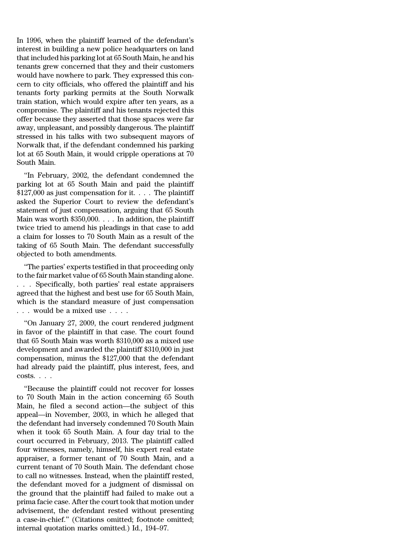In 1996, when the plaintiff learned of the defendant's interest in building a new police headquarters on land that included his parking lot at 65 South Main, he and his tenants grew concerned that they and their customers would have nowhere to park. They expressed this concern to city officials, who offered the plaintiff and his tenants forty parking permits at the South Norwalk train station, which would expire after ten years, as a compromise. The plaintiff and his tenants rejected this offer because they asserted that those spaces were far away, unpleasant, and possibly dangerous. The plaintiff stressed in his talks with two subsequent mayors of Norwalk that, if the defendant condemned his parking lot at 65 South Main, it would cripple operations at 70 South Main.

''In February, 2002, the defendant condemned the parking lot at 65 South Main and paid the plaintiff \$127,000 as just compensation for it. . . . The plaintiff asked the Superior Court to review the defendant's statement of just compensation, arguing that 65 South Main was worth \$350,000. . . . In addition, the plaintiff twice tried to amend his pleadings in that case to add a claim for losses to 70 South Main as a result of the taking of 65 South Main. The defendant successfully objected to both amendments.

''The parties' experts testified in that proceeding only to the fair market value of 65 South Main standing alone. . . . Specifically, both parties' real estate appraisers agreed that the highest and best use for 65 South Main, which is the standard measure of just compensation . . . would be a mixed use . . . .

''On January 27, 2009, the court rendered judgment in favor of the plaintiff in that case. The court found that 65 South Main was worth \$310,000 as a mixed use development and awarded the plaintiff \$310,000 in just compensation, minus the \$127,000 that the defendant had already paid the plaintiff, plus interest, fees, and costs. . . .

''Because the plaintiff could not recover for losses to 70 South Main in the action concerning 65 South Main, he filed a second action—the subject of this appeal—in November, 2003, in which he alleged that the defendant had inversely condemned 70 South Main when it took 65 South Main. A four day trial to the court occurred in February, 2013. The plaintiff called four witnesses, namely, himself, his expert real estate appraiser, a former tenant of 70 South Main, and a current tenant of 70 South Main. The defendant chose to call no witnesses. Instead, when the plaintiff rested, the defendant moved for a judgment of dismissal on the ground that the plaintiff had failed to make out a prima facie case. After the court took that motion under advisement, the defendant rested without presenting a case-in-chief.'' (Citations omitted; footnote omitted; internal quotation marks omitted.) Id., 194–97.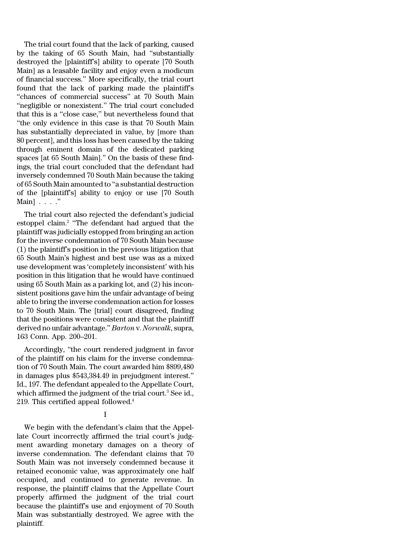The trial court found that the lack of parking, caused by the taking of 65 South Main, had ''substantially destroyed the [plaintiff's] ability to operate [70 South Main] as a leasable facility and enjoy even a modicum of financial success.'' More specifically, the trial court found that the lack of parking made the plaintiff's ''chances of commercial success'' at 70 South Main "negligible or nonexistent." The trial court concluded that this is a ''close case,'' but nevertheless found that ''the only evidence in this case is that 70 South Main has substantially depreciated in value, by [more than 80 percent], and this loss has been caused by the taking through eminent domain of the dedicated parking spaces [at 65 South Main].'' On the basis of these findings, the trial court concluded that the defendant had inversely condemned 70 South Main because the taking of 65 South Main amounted to ''a substantial destruction of the [plaintiff's] ability to enjoy or use [70 South Main $\vert \ldots \vert$ .

The trial court also rejected the defendant's judicial estoppel claim.<sup>2</sup> ''The defendant had argued that the plaintiff was judicially estopped from bringing an action for the inverse condemnation of 70 South Main because (1) the plaintiff's position in the previous litigation that 65 South Main's highest and best use was as a mixed use development was 'completely inconsistent' with his position in this litigation that he would have continued using 65 South Main as a parking lot, and (2) his inconsistent positions gave him the unfair advantage of being able to bring the inverse condemnation action forlosses to 70 South Main. The [trial] court disagreed, finding that the positions were consistent and that the plaintiff derived no unfair advantage.'' *Barton* v. *Norwalk*, supra, 163 Conn. App. 200–201.

Accordingly, ''the court rendered judgment in favor of the plaintiff on his claim for the inverse condemnation of 70 South Main. The court awarded him \$899,480 in damages plus \$543,384.49 in prejudgment interest.'' Id., 197. The defendant appealed to the Appellate Court, which affirmed the judgment of the trial court.<sup>3</sup> See id., 219. This certified appeal followed.<sup>4</sup>

I

We begin with the defendant's claim that the Appellate Court incorrectly affirmed the trial court's judgment awarding monetary damages on a theory of inverse condemnation. The defendant claims that 70 South Main was not inversely condemned because it retained economic value, was approximately one half occupied, and continued to generate revenue. In response, the plaintiff claims that the Appellate Court properly affirmed the judgment of the trial court because the plaintiff's use and enjoyment of 70 South Main was substantially destroyed. We agree with the plaintiff.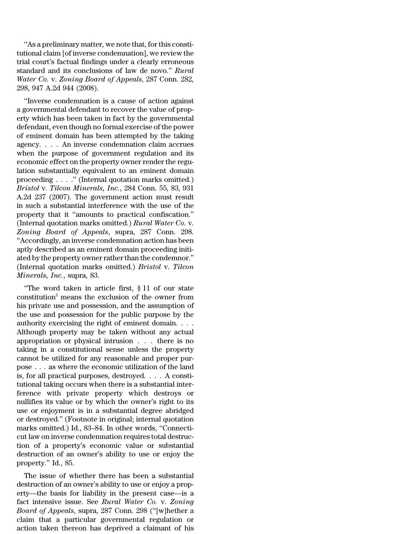''As a preliminary matter, we note that, forthis constitutional claim [of inverse condemnation], we review the trial court's factual findings under a clearly erroneous standard and its conclusions of law de novo.'' *Rural Water Co.* v. *Zoning Board of Appeals*, 287 Conn. 282, 298, 947 A.2d 944 (2008).

''Inverse condemnation is a cause of action against a governmental defendant to recover the value of property which has been taken in fact by the governmental defendant, even though no formal exercise of the power of eminent domain has been attempted by the taking agency. . . . An inverse condemnation claim accrues when the purpose of government regulation and its economic effect on the property owner render the regulation substantially equivalent to an eminent domain proceeding . . . .'' (Internal quotation marks omitted.) *Bristol* v. *Tilcon Minerals, Inc.*, 284 Conn. 55, 83, 931 A.2d 237 (2007). The government action must result in such a substantial interference with the use of the property that it ''amounts to practical confiscation.'' (Internal quotation marks omitted.) *Rural Water Co.* v. *Zoning Board of Appeals*, supra, 287 Conn. 298. ''Accordingly, an inverse condemnation action has been aptly described as an eminent domain proceeding initiated by the property owner rather than the condemnor." (Internal quotation marks omitted.) *Bristol* v. *Tilcon Minerals, Inc.*, supra, 83.

''The word taken in article first, § 11 of our state  $\alpha$  constitution<sup>5</sup> means the exclusion of the owner from his private use and possession, and the assumption of the use and possession for the public purpose by the authority exercising the right of eminent domain. . . . Although property may be taken without any actual appropriation or physical intrusion . . . there is no taking in a constitutional sense unless the property cannot be utilized for any reasonable and proper purpose . . . as where the economic utilization of the land is, for all practical purposes, destroyed. . . . A constitutional taking occurs when there is a substantial interference with private property which destroys or nullifies its value or by which the owner's right to its use or enjoyment is in a substantial degree abridged or destroyed.'' (Footnote in original; internal quotation marks omitted.) Id., 83–84. In other words, ''Connecticut law on inverse condemnation requires total destruction of a property's economic value or substantial destruction of an owner's ability to use or enjoy the property.'' Id., 85.

The issue of whether there has been a substantial destruction of an owner's ability to use or enjoy a property—the basis for liability in the present case—is a fact intensive issue. See *Rural Water Co.* v. *Zoning Board of Appeals*, supra, 287 Conn. 298 (''[w]hether a claim that a particular governmental regulation or action taken thereon has deprived a claimant of his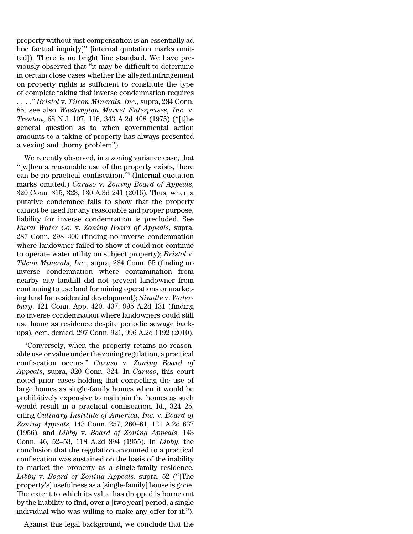property without just compensation is an essentially ad hoc factual inquir[y]'' [internal quotation marks omitted]). There is no bright line standard. We have previously observed that ''it may be difficult to determine in certain close cases whether the alleged infringement on property rights is sufficient to constitute the type of complete taking that inverse condemnation requires . . . .'' *Bristol* v. *Tilcon Minerals, Inc.*, supra, 284 Conn. 85; see also *Washington Market Enterprises, Inc.* v. *Trenton*, 68 N.J. 107, 116, 343 A.2d 408 (1975) (''[t]he general question as to when governmental action amounts to a taking of property has always presented a vexing and thorny problem'').

We recently observed, in a zoning variance case, that ''[w]hen a reasonable use of the property exists, there can be no practical confiscation.''<sup>6</sup> (Internal quotation marks omitted.) *Caruso* v. *Zoning Board of Appeals*, 320 Conn. 315, 323, 130 A.3d 241 (2016). Thus, when a putative condemnee fails to show that the property cannot be used for any reasonable and proper purpose, liability for inverse condemnation is precluded. See *Rural Water Co.* v. *Zoning Board of Appeals*, supra, 287 Conn. 298–300 (finding no inverse condemnation where landowner failed to show it could not continue to operate water utility on subject property); *Bristol* v. *Tilcon Minerals, Inc.*, supra, 284 Conn. 55 (finding no inverse condemnation where contamination from nearby city landfill did not prevent landowner from continuing to use land for mining operations or marketing land for residential development); *Sinotte* v. *Waterbury*, 121 Conn. App. 420, 437, 995 A.2d 131 (finding no inverse condemnation where landowners could still use home as residence despite periodic sewage backups), cert. denied, 297 Conn. 921, 996 A.2d 1192 (2010).

''Conversely, when the property retains no reasonable use or value under the zoning regulation, a practical confiscation occurs.'' *Caruso* v. *Zoning Board of Appeals*, supra, 320 Conn. 324. In *Caruso*, this court noted prior cases holding that compelling the use of large homes as single-family homes when it would be prohibitively expensive to maintain the homes as such would result in a practical confiscation. Id., 324–25, citing *Culinary Institute of America, Inc.* v. *Board of Zoning Appeals*, 143 Conn. 257, 260–61, 121 A.2d 637 (1956), and *Libby* v. *Board of Zoning Appeals*, 143 Conn. 46, 52–53, 118 A.2d 894 (1955). In *Libby*, the conclusion that the regulation amounted to a practical confiscation was sustained on the basis of the inability to market the property as a single-family residence. *Libby* v. *Board of Zoning Appeals*, supra, 52 (''[The property's] usefulness as a [single-family] house is gone. The extent to which its value has dropped is borne out by the inability to find, over a [two year] period, a single individual who was willing to make any offer for it.'').

Against this legal background, we conclude that the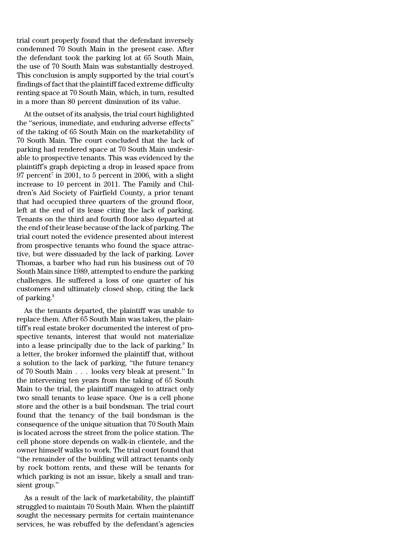trial court properly found that the defendant inversely condemned 70 South Main in the present case. After the defendant took the parking lot at 65 South Main, the use of 70 South Main was substantially destroyed. This conclusion is amply supported by the trial court's findings of fact that the plaintiff faced extreme difficulty renting space at 70 South Main, which, in turn, resulted in a more than 80 percent diminution of its value.

At the outset of its analysis, the trial court highlighted the ''serious, immediate, and enduring adverse effects'' of the taking of 65 South Main on the marketability of 70 South Main. The court concluded that the lack of parking had rendered space at 70 South Main undesirable to prospective tenants. This was evidenced by the plaintiff's graph depicting a drop in leased space from  $97$  percent $^7$  in  $2001\text{, to } 5$  percent in  $2006\text{, with a slight}$ increase to 10 percent in 2011. The Family and Children's Aid Society of Fairfield County, a prior tenant that had occupied three quarters of the ground floor, left at the end of its lease citing the lack of parking. Tenants on the third and fourth floor also departed at the end of their lease because of the lack of parking. The trial court noted the evidence presented about interest from prospective tenants who found the space attractive, but were dissuaded by the lack of parking. Lover Thomas, a barber who had run his business out of 70 South Main since 1989, attempted to endure the parking challenges. He suffered a loss of one quarter of his customers and ultimately closed shop, citing the lack of parking.<sup>8</sup>

As the tenants departed, the plaintiff was unable to replace them. After 65 South Main was taken, the plaintiff's real estate broker documented the interest of prospective tenants, interest that would not materialize into a lease principally due to the lack of parking.<sup>9</sup> In a letter, the broker informed the plaintiff that, without a solution to the lack of parking, ''the future tenancy of 70 South Main . . . looks very bleak at present.'' In the intervening ten years from the taking of 65 South Main to the trial, the plaintiff managed to attract only two small tenants to lease space. One is a cell phone store and the other is a bail bondsman. The trial court found that the tenancy of the bail bondsman is the consequence of the unique situation that 70 South Main is located across the street from the police station. The cell phone store depends on walk-in clientele, and the owner himself walks to work. The trial court found that ''the remainder of the building will attract tenants only by rock bottom rents, and these will be tenants for which parking is not an issue, likely a small and transient group.''

As a result of the lack of marketability, the plaintiff struggled to maintain 70 South Main. When the plaintiff sought the necessary permits for certain maintenance services, he was rebuffed by the defendant's agencies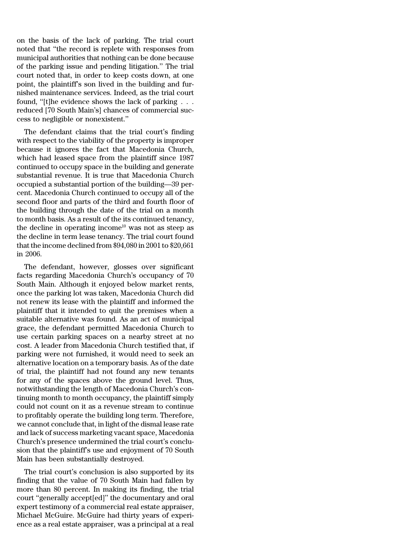on the basis of the lack of parking. The trial court noted that ''the record is replete with responses from municipal authorities that nothing can be done because of the parking issue and pending litigation.'' The trial court noted that, in order to keep costs down, at one point, the plaintiff's son lived in the building and furnished maintenance services. Indeed, as the trial court found, ''[t]he evidence shows the lack of parking . . . reduced [70 South Main's] chances of commercial success to negligible or nonexistent.''

The defendant claims that the trial court's finding with respect to the viability of the property is improper because it ignores the fact that Macedonia Church, which had leased space from the plaintiff since 1987 continued to occupy space in the building and generate substantial revenue. It is true that Macedonia Church occupied a substantial portion of the building—39 percent. Macedonia Church continued to occupy all of the second floor and parts of the third and fourth floor of the building through the date of the trial on a month to month basis. As a result of the its continued tenancy, the decline in operating income<sup>10</sup> was not as steep as the decline in term lease tenancy. The trial court found that the income declined from \$94,080 in 2001 to \$20,661 in 2006.

The defendant, however, glosses over significant facts regarding Macedonia Church's occupancy of 70 South Main. Although it enjoyed below market rents, once the parking lot was taken, Macedonia Church did not renew its lease with the plaintiff and informed the plaintiff that it intended to quit the premises when a suitable alternative was found. As an act of municipal grace, the defendant permitted Macedonia Church to use certain parking spaces on a nearby street at no cost. A leader from Macedonia Church testified that, if parking were not furnished, it would need to seek an alternative location on a temporary basis. As of the date of trial, the plaintiff had not found any new tenants for any of the spaces above the ground level. Thus, notwithstanding the length of Macedonia Church's continuing month to month occupancy, the plaintiff simply could not count on it as a revenue stream to continue to profitably operate the building long term. Therefore, we cannot conclude that, in light of the dismal lease rate and lack of success marketing vacant space, Macedonia Church's presence undermined the trial court's conclusion that the plaintiff's use and enjoyment of 70 South Main has been substantially destroyed.

The trial court's conclusion is also supported by its finding that the value of 70 South Main had fallen by more than 80 percent. In making its finding, the trial court ''generally accept[ed]'' the documentary and oral expert testimony of a commercial real estate appraiser, Michael McGuire. McGuire had thirty years of experience as a real estate appraiser, was a principal at a real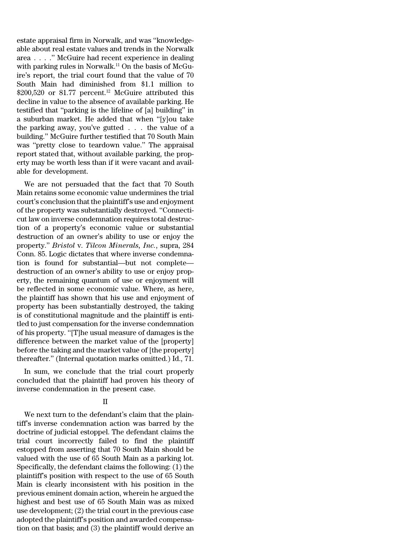estate appraisal firm in Norwalk, and was ''knowledgeable about real estate values and trends in the Norwalk area . . . .'' McGuire had recent experience in dealing with parking rules in Norwalk.<sup>11</sup> On the basis of McGuire's report, the trial court found that the value of 70 South Main had diminished from \$1.1 million to  $$200,520$  or 81.77 percent.<sup>12</sup> McGuire attributed this decline in value to the absence of available parking. He testified that ''parking is the lifeline of [a] building'' in a suburban market. He added that when ''[y]ou take the parking away, you've gutted . . . the value of a building.'' McGuire further testified that 70 South Main was ''pretty close to teardown value.'' The appraisal report stated that, without available parking, the property may be worth less than if it were vacant and available for development.

We are not persuaded that the fact that 70 South Main retains some economic value undermines the trial court's conclusion that the plaintiff's use and enjoyment of the property was substantially destroyed. ''Connecticut law on inverse condemnation requires total destruction of a property's economic value or substantial destruction of an owner's ability to use or enjoy the property.'' *Bristol* v. *Tilcon Minerals, Inc.*, supra, 284 Conn. 85. Logic dictates that where inverse condemnation is found for substantial—but not complete destruction of an owner's ability to use or enjoy property, the remaining quantum of use or enjoyment will be reflected in some economic value. Where, as here, the plaintiff has shown that his use and enjoyment of property has been substantially destroyed, the taking is of constitutional magnitude and the plaintiff is entitled to just compensation for the inverse condemnation of his property. ''[T]he usual measure of damages is the difference between the market value of the [property] before the taking and the market value of [the property] thereafter.'' (Internal quotation marks omitted.) Id., 71.

In sum, we conclude that the trial court properly concluded that the plaintiff had proven his theory of inverse condemnation in the present case.

# II

We next turn to the defendant's claim that the plaintiff's inverse condemnation action was barred by the doctrine of judicial estoppel. The defendant claims the trial court incorrectly failed to find the plaintiff estopped from asserting that 70 South Main should be valued with the use of 65 South Main as a parking lot. Specifically, the defendant claims the following: (1) the plaintiff's position with respect to the use of 65 South Main is clearly inconsistent with his position in the previous eminent domain action, wherein he argued the highest and best use of 65 South Main was as mixed use development; (2) the trial court in the previous case adopted the plaintiff's position and awarded compensation on that basis; and (3) the plaintiff would derive an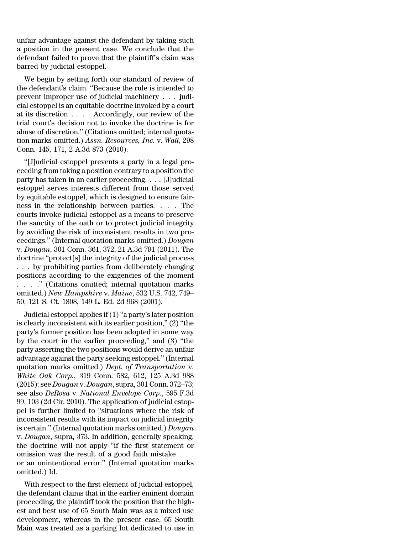unfair advantage against the defendant by taking such a position in the present case. We conclude that the defendant failed to prove that the plaintiff's claim was barred by judicial estoppel.

We begin by setting forth our standard of review of the defendant's claim. ''Because the rule is intended to prevent improper use of judicial machinery . . . judicial estoppel is an equitable doctrine invoked by a court at its discretion . . . . Accordingly, our review of the trial court's decision not to invoke the doctrine is for abuse of discretion.'' (Citations omitted; internal quotation marks omitted.) *Assn. Resources, Inc.* v. *Wall*, 298 Conn. 145, 171, 2 A.3d 873 (2010).

''[J]udicial estoppel prevents a party in a legal proceeding from taking a position contrary to a position the party has taken in an earlier proceeding. . . . [J]udicial estoppel serves interests different from those served by equitable estoppel, which is designed to ensure fairness in the relationship between parties. . . . The courts invoke judicial estoppel as a means to preserve the sanctity of the oath or to protect judicial integrity by avoiding the risk of inconsistent results in two proceedings.'' (Internal quotation marks omitted.) *Dougan* v. *Dougan*, 301 Conn. 361, 372, 21 A.3d 791 (2011). The doctrine ''protect[s] the integrity of the judicial process . . . by prohibiting parties from deliberately changing positions according to the exigencies of the moment . . . .'' (Citations omitted; internal quotation marks omitted.) *New Hampshire* v. *Maine*, 532 U.S. 742, 749– 50, 121 S. Ct. 1808, 149 L. Ed. 2d 968 (2001).

Judicial estoppel applies if(1)''a party's later position is clearly inconsistent with its earlier position,'' (2) ''the party's former position has been adopted in some way by the court in the earlier proceeding,'' and (3) ''the party asserting the two positions would derive an unfair advantage against the party seeking estoppel.'' (Internal quotation marks omitted.) *Dept. of Transportation* v. *White Oak Corp.*, 319 Conn. 582, 612, 125 A.3d 988 (2015); see *Dougan* v. *Dougan*, supra, 301 Conn. 372–73; see also *DeRosa* v. *National Envelope Corp.*, 595 F.3d 99, 103 (2d Cir. 2010). The application of judicial estoppel is further limited to ''situations where the risk of inconsistent results with its impact on judicial integrity is certain.'' (Internal quotation marks omitted.) *Dougan* v. *Dougan*, supra, 373. In addition, generally speaking, the doctrine will not apply ''if the first statement or omission was the result of a good faith mistake . . . or an unintentional error.'' (Internal quotation marks omitted.) Id.

With respect to the first element of judicial estoppel, the defendant claims that in the earlier eminent domain proceeding, the plaintiff took the position that the highest and best use of 65 South Main was as a mixed use development, whereas in the present case, 65 South Main was treated as a parking lot dedicated to use in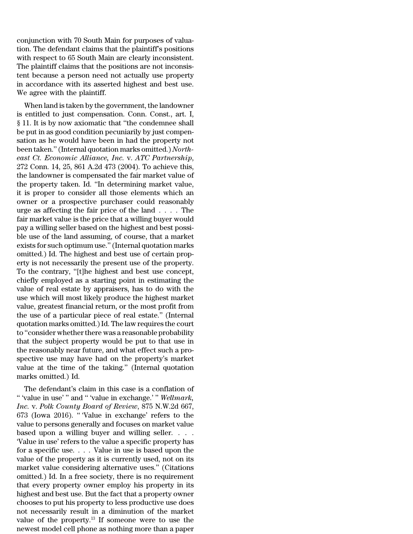conjunction with 70 South Main for purposes of valuation. The defendant claims that the plaintiff's positions with respect to 65 South Main are clearly inconsistent. The plaintiff claims that the positions are not inconsistent because a person need not actually use property in accordance with its asserted highest and best use. We agree with the plaintiff.

When land is taken by the government, the landowner is entitled to just compensation. Conn. Const., art. I, § 11. It is by now axiomatic that ''the condemnee shall be put in as good condition pecuniarily by just compensation as he would have been in had the property not been taken.''(Internal quotation marks omitted.) *Northeast Ct. Economic Alliance, Inc.* v. *ATC Partnership*, 272 Conn. 14, 25, 861 A.2d 473 (2004). To achieve this, the landowner is compensated the fair market value of the property taken. Id. ''In determining market value, it is proper to consider all those elements which an owner or a prospective purchaser could reasonably urge as affecting the fair price of the land . . . . The fair market value is the price that a willing buyer would pay a willing seller based on the highest and best possible use of the land assuming, of course, that a market exists for such optimum use.''(Internal quotation marks omitted.) Id. The highest and best use of certain property is not necessarily the present use of the property. To the contrary, ''[t]he highest and best use concept, chiefly employed as a starting point in estimating the value of real estate by appraisers, has to do with the use which will most likely produce the highest market value, greatest financial return, or the most profit from the use of a particular piece of real estate.'' (Internal quotation marks omitted.)Id. The law requires the court to "consider whether there was a reasonable probability that the subject property would be put to that use in the reasonably near future, and what effect such a prospective use may have had on the property's market value at the time of the taking.'' (Internal quotation marks omitted.) Id.

The defendant's claim in this case is a conflation of '' 'value in use' '' and '' 'value in exchange.' '' *Wellmark, Inc.* v. *Polk County Board of Review*, 875 N.W.2d 667, 673 (Iowa 2016). '' 'Value in exchange' refers to the value to persons generally and focuses on market value based upon a willing buyer and willing seller. . . . 'Value in use' refers to the value a specific property has for a specific use. . . . Value in use is based upon the value of the property as it is currently used, not on its market value considering alternative uses.'' (Citations omitted.) Id. In a free society, there is no requirement that every property owner employ his property in its highest and best use. But the fact that a property owner chooses to put his property to less productive use does not necessarily result in a diminution of the market value of the property. $13$  If someone were to use the newest model cell phone as nothing more than a paper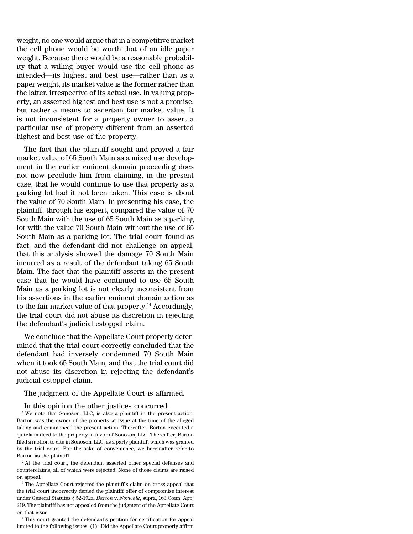weight, no one would argue that in a competitive market the cell phone would be worth that of an idle paper weight. Because there would be a reasonable probability that a willing buyer would use the cell phone as intended—its highest and best use—rather than as a paper weight, its market value is the former rather than the latter, irrespective of its actual use. In valuing property, an asserted highest and best use is not a promise, but rather a means to ascertain fair market value. It is not inconsistent for a property owner to assert a particular use of property different from an asserted highest and best use of the property.

The fact that the plaintiff sought and proved a fair market value of 65 South Main as a mixed use development in the earlier eminent domain proceeding does not now preclude him from claiming, in the present case, that he would continue to use that property as a parking lot had it not been taken. This case is about the value of 70 South Main. In presenting his case, the plaintiff, through his expert, compared the value of 70 South Main with the use of 65 South Main as a parking lot with the value 70 South Main without the use of 65 South Main as a parking lot. The trial court found as fact, and the defendant did not challenge on appeal, that this analysis showed the damage 70 South Main incurred as a result of the defendant taking 65 South Main. The fact that the plaintiff asserts in the present case that he would have continued to use 65 South Main as a parking lot is not clearly inconsistent from his assertions in the earlier eminent domain action as to the fair market value of that property.<sup>14</sup> Accordingly, the trial court did not abuse its discretion in rejecting the defendant's judicial estoppel claim.

We conclude that the Appellate Court properly determined that the trial court correctly concluded that the defendant had inversely condemned 70 South Main when it took 65 South Main, and that the trial court did not abuse its discretion in rejecting the defendant's judicial estoppel claim.

The judgment of the Appellate Court is affirmed.

In this opinion the other justices concurred.

<sup>1</sup> We note that Sonoson, LLC, is also a plaintiff in the present action. Barton was the owner of the property at issue at the time of the alleged taking and commenced the present action. Thereafter, Barton executed a quitclaim deed to the property in favor of Sonoson, LLC. Thereafter, Barton filed a motion to cite in Sonoson, LLC, as a party plaintiff, which was granted by the trial court. For the sake of convenience, we hereinafter refer to Barton as the plaintiff.

<sup>2</sup> At the trial court, the defendant asserted other special defenses and counterclaims, all of which were rejected. None of those claims are raised on appeal.

<sup>3</sup> The Appellate Court rejected the plaintiff's claim on cross appeal that the trial court incorrectly denied the plaintiff offer of compromise interest under General Statutes § 52-192a. *Barton* v. *Norwalk*, supra, 163 Conn. App. 219. The plaintiff has not appealed from the judgment of the Appellate Court on that issue.

<sup>4</sup> This court granted the defendant's petition for certification for appeal limited to the following issues: (1) ''Did the Appellate Court properly affirm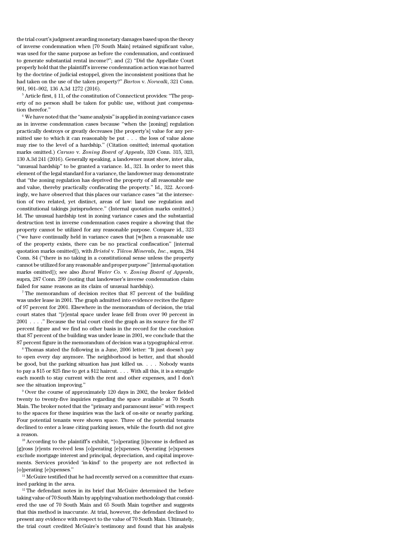the trial court's judgment awarding monetary damages based upon the theory of inverse condemnation when [70 South Main] retained significant value, was used for the same purpose as before the condemnation, and continued to generate substantial rental income?''; and (2) ''Did the Appellate Court properly hold that the plaintiff's inverse condemnation action was not barred by the doctrine of judicial estoppel, given the inconsistent positions that he had taken on the use of the taken property?'' *Barton* v. *Norwalk*, 321 Conn. 901, 901–902, 136 A.3d 1272 (2016).

<sup>5</sup> Article first, § 11, of the constitution of Connecticut provides: ''The property of no person shall be taken for public use, without just compensation therefor.''

<sup>6</sup> We have noted that the ''same analysis'' is applied in zoning variance cases as in inverse condemnation cases because ''when the [zoning] regulation practically destroys or greatly decreases [the property's] value for any permitted use to which it can reasonably be put . . . the loss of value alone may rise to the level of a hardship.'' (Citation omitted; internal quotation marks omitted.) *Caruso* v. *Zoning Board of Appeals*, 320 Conn. 315, 323, 130 A.3d 241 (2016). Generally speaking, a landowner must show, inter alia, ''unusual hardship'' to be granted a variance. Id., 321. In order to meet this element of the legal standard for a variance, the landowner may demonstrate that ''the zoning regulation has deprived the property of all reasonable use and value, thereby practically confiscating the property.'' Id., 322. Accordingly, we have observed that this places our variance cases ''at the intersection of two related, yet distinct, areas of law: land use regulation and constitutional takings jurisprudence.'' (Internal quotation marks omitted.) Id. The unusual hardship test in zoning variance cases and the substantial destruction test in inverse condemnation cases require a showing that the property cannot be utilized for any reasonable purpose. Compare id., 323 (''we have continually held in variance cases that [w]hen a reasonable use of the property exists, there can be no practical confiscation'' [internal quotation marks omitted]), with *Bristol* v. *Tilcon Minerals, Inc.*, supra, 284 Conn. 84 (''there is no taking in a constitutional sense unless the property cannot be utilized for any reasonable and proper purpose''[internal quotation marks omitted]); see also *Rural Water Co.* v. *Zoning Board of Appeals*, supra, 287 Conn. 299 (noting that landowner's inverse condemnation claim failed for same reasons as its claim of unusual hardship).

<sup>7</sup> The memorandum of decision recites that 87 percent of the building was under lease in 2001. The graph admitted into evidence recites the figure of 97 percent for 2001. Elsewhere in the memorandum of decision, the trial court states that ''[r]ental space under lease fell from over 90 percent in 2001 . . . .'' Because the trial court cited the graph as its source for the 87 percent figure and we find no other basis in the record for the conclusion that 87 percent of the building was under lease in 2001, we conclude that the 87 percent figure in the memorandum of decision was a typographical error.

<sup>8</sup> Thomas stated the following in a June, 2006 letter: ''It just doesn't pay to open every day anymore. The neighborhood is better, and that should be good, but the parking situation has just killed us. . . . Nobody wants to pay a \$15 or \$25 fine to get a \$12 haircut. . . . With all this, it is a struggle each month to stay current with the rent and other expenses, and I don't see the situation improving.''

<sup>9</sup> Over the course of approximately 120 days in 2002, the broker fielded twenty to twenty-five inquiries regarding the space available at 70 South Main. The broker noted that the ''primary and paramount issue'' with respect to the spaces for these inquiries was the lack of on-site or nearby parking. Four potential tenants were shown space. Three of the potential tenants declined to enter a lease citing parking issues, while the fourth did not give a reason.

<sup>10</sup> According to the plaintiff's exhibit, ''[o]perating [i]ncome is defined as [g]ross [r]ents received less [o]perating [e]xpenses. Operating [e]xpenses exclude mortgage interest and principal, depreciation, and capital improvements. Services provided 'in-kind' to the property are not reflected in [o]perating [e]xpenses.''

<sup>11</sup> McGuire testified that he had recently served on a committee that examined parking in the area.

 $12$  The defendant notes in its brief that McGuire determined the before taking value of 70 South Main by applying valuation methodology that considered the use of 70 South Main and 65 South Main together and suggests that this method is inaccurate. At trial, however, the defendant declined to present any evidence with respect to the value of 70 South Main. Ultimately, the trial court credited McGuire's testimony and found that his analysis